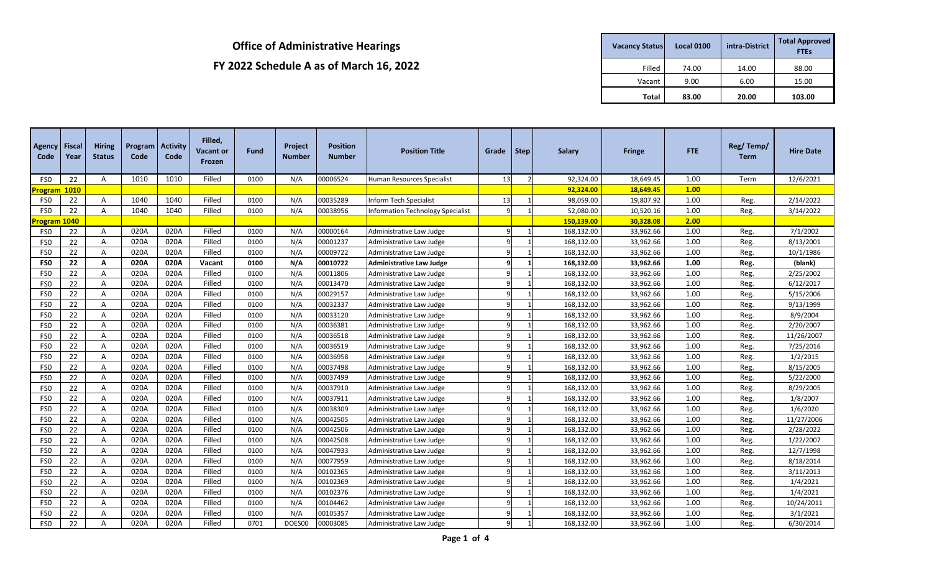| <b>Vacancy Status</b> | <b>Local 0100</b> | intra-District | <b>Total Approved</b><br><b>FTEs</b> |
|-----------------------|-------------------|----------------|--------------------------------------|
| Filled                | 74.00             | 14.00          | 88.00                                |
| Vacant                | 9.00              | 6.00           | 15.00                                |
| Total                 | 83.00             | 20.00          | 103.00                               |

| <b>Agency Fiscal</b><br>Code | Year        | <b>Hiring</b><br><b>Status</b> | Program<br>Code | <b>Activity</b><br>Code | Filled,<br>Vacant or<br>Frozen | Fund | <b>Project</b><br>Number | <b>Position</b><br><b>Number</b> | <b>Position Title</b>             | Grade        | Step         | <b>Salary</b> | <b>Fringe</b> | <b>FTE</b> | Reg/Temp/<br>Term | <b>Hire Date</b> |
|------------------------------|-------------|--------------------------------|-----------------|-------------------------|--------------------------------|------|--------------------------|----------------------------------|-----------------------------------|--------------|--------------|---------------|---------------|------------|-------------------|------------------|
| FS <sub>0</sub>              | 22          | A                              | 1010            | 1010                    | Filled                         | 0100 | N/A                      | 00006524                         | <b>Human Resources Specialist</b> | 13           |              | 92,324.00     | 18,649.45     | 1.00       | Term              | 12/6/2021        |
| <u>'rogram</u>               | <b>1010</b> |                                |                 |                         |                                |      |                          |                                  |                                   |              |              | 92,324.00     | 18,649.45     | 1.00       |                   |                  |
| FS <sub>0</sub>              | 22          | Α                              | 1040            | 1040                    | Filled                         | 0100 | N/A                      | 00035289                         | Inform Tech Specialist            | 13           |              | 98,059.00     | 19,807.92     | 1.00       | Reg.              | 2/14/2022        |
| FS0                          | 22          | Α                              | 1040            | 1040                    | Filled                         | 0100 | N/A                      | 00038956                         | Information Technology Specialist | 9            |              | 52,080.00     | 10,520.16     | 1.00       | Reg.              | 3/14/2022        |
| Program 1040                 |             |                                |                 |                         |                                |      |                          |                                  |                                   |              |              | 150,139.00    | 30,328.08     | 2.00       |                   |                  |
| FS <sub>0</sub>              | 22          | A                              | 020A            | 020A                    | Filled                         | 0100 | N/A                      | 00000164                         | Administrative Law Judge          | 9            |              | 168,132.00    | 33,962.66     | 1.00       | Reg.              | 7/1/2002         |
| FS <sub>0</sub>              | 22          | A                              | 020A            | 020A                    | Filled                         | 0100 | N/A                      | 00001237                         | Administrative Law Judge          | q            |              | 168,132.00    | 33,962.66     | 1.00       | Reg.              | 8/13/2001        |
| FS0                          | 22          | A                              | 020A            | 020A                    | Filled                         | 0100 | N/A                      | 00009722                         | Administrative Law Judge          | 9            |              | 168,132.00    | 33,962.66     | 1.00       | Reg.              | 10/1/1986        |
| FS <sub>0</sub>              | 22          | A                              | 020A            | 020A                    | Vacant                         | 0100 | N/A                      | 00010722                         | <b>Administrative Law Judge</b>   | q            |              | 168,132.00    | 33,962.66     | 1.00       | Reg.              | (blank)          |
| FS <sub>0</sub>              | 22          | Α                              | 020A            | 020A                    | Filled                         | 0100 | N/A                      | 00011806                         | Administrative Law Judge          | 9            |              | 168,132.00    | 33,962.66     | 1.00       | Reg.              | 2/25/2002        |
| FS0                          | 22          | A                              | 020A            | 020A                    | Filled                         | 0100 | N/A                      | 00013470                         | Administrative Law Judge          | q            |              | 168,132.00    | 33,962.66     | 1.00       | Reg.              | 6/12/2017        |
| FS <sub>0</sub>              | 22          | A                              | 020A            | 020A                    | Filled                         | 0100 | N/A                      | 00029157                         | Administrative Law Judge          | q            |              | 168,132.00    | 33,962.66     | 1.00       | Reg.              | 5/15/2006        |
| FS0                          | 22          | A                              | 020A            | 020A                    | Filled                         | 0100 | N/A                      | 00032337                         | Administrative Law Judge          | q            |              | 168,132.00    | 33,962.66     | 1.00       | Reg.              | 9/13/1999        |
| FS <sub>0</sub>              | 22          | Α                              | 020A            | 020A                    | Filled                         | 0100 | N/A                      | 00033120                         | Administrative Law Judge          | q            |              | 168,132.00    | 33,962.66     | 1.00       | Reg.              | 8/9/2004         |
| FS0                          | 22          | A                              | 020A            | 020A                    | Filled                         | 0100 | N/A                      | 00036381                         | Administrative Law Judge          | $\mathbf{q}$ |              | 168,132.00    | 33,962.66     | 1.00       | Reg.              | 2/20/2007        |
| FS0                          | 22          | Α                              | 020A            | 020A                    | Filled                         | 0100 | N/A                      | 00036518                         | Administrative Law Judge          | 9            |              | 168,132.00    | 33,962.66     | 1.00       | Reg.              | 11/26/2007       |
| FS0                          | 22          | Α                              | 020A            | 020A                    | Filled                         | 0100 | N/A                      | 00036519                         | Administrative Law Judge          | 9            |              | 168,132.00    | 33,962.66     | 1.00       | Reg.              | 7/25/2016        |
| FS0                          | 22          | Α                              | 020A            | 020A                    | Filled                         | 0100 | N/A                      | 00036958                         | Administrative Law Judge          | 9            |              | 168,132.00    | 33,962.66     | 1.00       | Reg.              | 1/2/2015         |
| FS0                          | 22          | Α                              | 020A            | 020A                    | Filled                         | 0100 | N/A                      | 00037498                         | Administrative Law Judge          | 9            |              | 168,132.00    | 33,962.66     | 1.00       | Reg.              | 8/15/2005        |
| FS <sub>0</sub>              | 22          | Α                              | 020A            | 020A                    | Filled                         | 0100 | N/A                      | 00037499                         | Administrative Law Judge          | 9            |              | 168,132.00    | 33,962.66     | 1.00       | Reg.              | 5/22/2000        |
| FS0                          | 22          | Α                              | 020A            | 020A                    | Filled                         | 0100 | N/A                      | 00037910                         | Administrative Law Judge          | 9            |              | 168,132.00    | 33,962.66     | 1.00       | Reg.              | 8/29/2005        |
| FS0                          | 22          | A                              | 020A            | 020A                    | Filled                         | 0100 | N/A                      | 00037911                         | Administrative Law Judge          | 9            |              | 168,132.00    | 33,962.66     | 1.00       | Reg.              | 1/8/2007         |
| FS <sub>0</sub>              | 22          | A                              | 020A            | 020A                    | Filled                         | 0100 | N/A                      | 00038309                         | Administrative Law Judge          | q            |              | 168,132.00    | 33,962.66     | 1.00       | Reg.              | 1/6/2020         |
| FS <sub>0</sub>              | 22          | Α                              | 020A            | 020A                    | Filled                         | 0100 | N/A                      | 00042505                         | Administrative Law Judge          | 9            |              | 168,132.00    | 33,962.66     | 1.00       | Reg.              | 11/27/2006       |
| FS0                          | 22          | Α                              | 020A            | 020A                    | Filled                         | 0100 | N/A                      | 00042506                         | Administrative Law Judge          | q            |              | 168,132.00    | 33,962.66     | 1.00       | Reg.              | 2/28/2022        |
| FS <sub>0</sub>              | 22          | A                              | 020A            | 020A                    | Filled                         | 0100 | N/A                      | 00042508                         | Administrative Law Judge          | 9            |              | 168,132.00    | 33,962.66     | 1.00       | Reg.              | 1/22/2007        |
| FS0                          | 22          | Α                              | 020A            | 020A                    | Filled                         | 0100 | N/A                      | 00047933                         | Administrative Law Judge          | 9            |              | 168,132.00    | 33,962.66     | 1.00       | Reg.              | 12/7/1998        |
| FS0                          | 22          | Α                              | 020A            | 020A                    | Filled                         | 0100 | N/A                      | 00077959                         | Administrative Law Judge          | 9            |              | 168,132.00    | 33,962.66     | 1.00       | Reg.              | 8/18/2014        |
| FS <sub>0</sub>              | 22          | A                              | 020A            | 020A                    | Filled                         | 0100 | N/A                      | 00102365                         | Administrative Law Judge          | q            |              | 168,132.00    | 33,962.66     | 1.00       | Reg.              | 3/11/2013        |
| FS <sub>0</sub>              | 22          | A                              | 020A            | 020A                    | Filled                         | 0100 | N/A                      | 00102369                         | Administrative Law Judge          | 9            |              | 168,132.00    | 33,962.66     | 1.00       | Reg.              | 1/4/2021         |
| FS0                          | 22          | Α                              | 020A            | 020A                    | Filled                         | 0100 | N/A                      | 00102376                         | Administrative Law Judge          | q            |              | 168,132.00    | 33,962.66     | 1.00       | Reg.              | 1/4/2021         |
| FS0                          | 22          | A                              | 020A            | 020A                    | Filled                         | 0100 | N/A                      | 00104462                         | Administrative Law Judge          | 9            |              | 168,132.00    | 33,962.66     | 1.00       | Reg.              | 10/24/2011       |
| FS0                          | 22          | Α                              | 020A            | 020A                    | Filled                         | 0100 | N/A                      | 00105357                         | Administrative Law Judge          | 9            |              | 168,132.00    | 33,962.66     | 1.00       | Reg.              | 3/1/2021         |
| FS <sub>0</sub>              | 22          | A                              | 020A            | 020A                    | Filled                         | 0701 | DOES00                   | 00003085                         | Administrative Law Judge          | 9            | $\mathbf{1}$ | 168,132.00    | 33,962.66     | 1.00       | Reg.              | 6/30/2014        |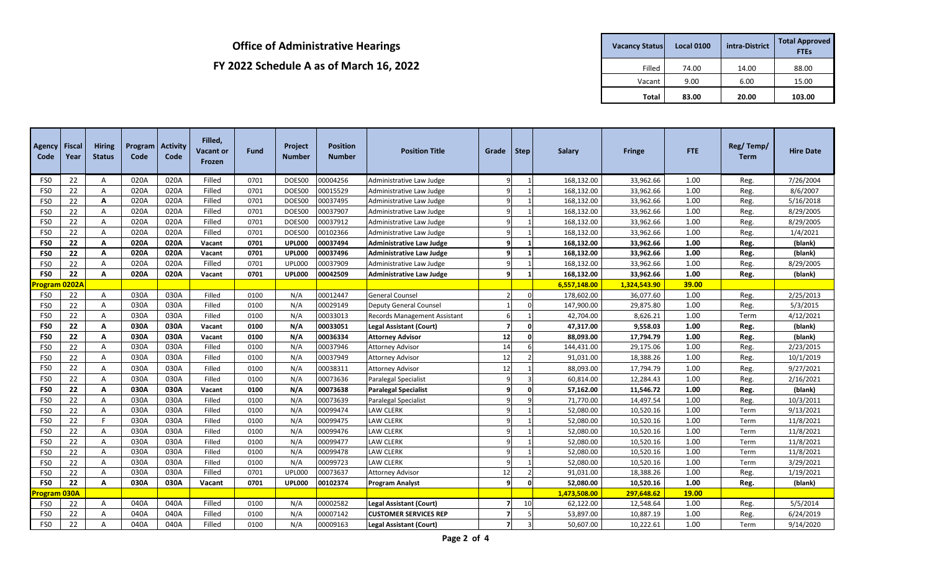| <b>Vacancy Status</b> | <b>Local 0100</b> | intra-District | <b>Total Approved</b><br><b>FTEs</b> |  |  |  |
|-----------------------|-------------------|----------------|--------------------------------------|--|--|--|
| Filled                | 74.00             | 14.00          | 88.00                                |  |  |  |
| Vacant                | 9.00              | 6.00           | 15.00                                |  |  |  |
| Total                 | 83.00             | 20.00          | 103.00                               |  |  |  |

| <b>Agency</b><br>Code | <b>Fiscal</b><br>Year | <b>Hiring</b><br><b>Status</b> | Program<br>Code | <b>Activity</b><br>Code | Filled,<br><b>Vacant or</b><br>Frozen | <b>Fund</b> | Project<br><b>Number</b> | <b>Position</b><br><b>Number</b> | <b>Position Title</b>               | Grade                   | Step     | <b>Salary</b> | <b>Fringe</b> | <b>FTE</b>   | Reg/Temp/<br><b>Term</b> | <b>Hire Date</b> |
|-----------------------|-----------------------|--------------------------------|-----------------|-------------------------|---------------------------------------|-------------|--------------------------|----------------------------------|-------------------------------------|-------------------------|----------|---------------|---------------|--------------|--------------------------|------------------|
| FS <sub>0</sub>       | 22                    | Α                              | 020A            | 020A                    | Filled                                | 0701        | DOES00                   | 00004256                         | Administrative Law Judge            | $\overline{9}$          |          | 168,132.00    | 33,962.66     | 1.00         | Reg.                     | 7/26/2004        |
| FS <sub>0</sub>       | 22                    | Α                              | 020A            | 020A                    | Filled                                | 0701        | DOES00                   | 00015529                         | Administrative Law Judge            | 9                       |          | 168,132.00    | 33,962.66     | 1.00         | Reg.                     | 8/6/2007         |
| FS0                   | 22                    | А                              | 020A            | 020A                    | Filled                                | 0701        | DOES00                   | 00037495                         | Administrative Law Judge            | 9                       |          | 168,132.00    | 33,962.66     | 1.00         | Reg.                     | 5/16/2018        |
| FS0                   | 22                    | A                              | 020A            | 020A                    | Filled                                | 0701        | DOES00                   | 00037907                         | Administrative Law Judge            | 9                       |          | 168,132.00    | 33,962.66     | 1.00         | Reg.                     | 8/29/2005        |
| FS0                   | 22                    | A                              | 020A            | 020A                    | Filled                                | 0701        | DOES00                   | 00037912                         | Administrative Law Judge            | $\mathsf{q}$            |          | 168,132.00    | 33,962.66     | 1.00         | Reg.                     | 8/29/2005        |
| FS <sub>0</sub>       | 22                    | A                              | 020A            | 020A                    | Filled                                | 0701        | DOES00                   | 00102366                         | Administrative Law Judge            | 9                       |          | 168,132.00    | 33,962.66     | 1.00         | Reg.                     | 1/4/2021         |
| FS <sub>0</sub>       | 22                    | А                              | 020A            | 020A                    | Vacant                                | 0701        | <b>UPL000</b>            | 00037494                         | <b>Administrative Law Judge</b>     | 9                       |          | 168,132.00    | 33,962.66     | 1.00         | Reg.                     | (blank)          |
| FS <sub>0</sub>       | 22                    | А                              | 020A            | 020A                    | Vacant                                | 0701        | <b>UPL000</b>            | 00037496                         | <b>Administrative Law Judge</b>     | 9                       |          | 168,132.00    | 33,962.66     | 1.00         | Reg.                     | (blank)          |
| FS <sub>0</sub>       | 22                    | A                              | 020A            | 020A                    | Filled                                | 0701        | UPL000                   | 00037909                         | Administrative Law Judge            | $\mathbf{q}$            |          | 168,132.00    | 33,962.66     | 1.00         | Reg.                     | 8/29/2005        |
| FS <sub>0</sub>       | 22                    | A                              | 020A            | 020A                    | Vacant                                | 0701        | <b>UPL000</b>            | 00042509                         | <b>Administrative Law Judge</b>     | 9                       |          | 168,132.00    | 33,962.66     | 1.00         | Reg.                     | (blank)          |
| Program               | 0202A                 |                                |                 |                         |                                       |             |                          |                                  |                                     |                         |          | 6,557,148.00  | 1,324,543.90  | 39.00        |                          |                  |
| FS <sub>0</sub>       | 22                    | Α                              | 030A            | 030A                    | Filled                                | 0100        | N/A                      | 00012447                         | <b>General Counsel</b>              | $\overline{2}$          | $\Omega$ | 178,602.00    | 36,077.60     | 1.00         | Reg.                     | 2/25/2013        |
| FS <sub>0</sub>       | 22                    | Α                              | 030A            | 030A                    | Filled                                | 0100        | N/A                      | 00029149                         | <b>Deputy General Counsel</b>       | 1                       |          | 147,900.00    | 29,875.80     | 1.00         | Reg.                     | 5/3/2015         |
| FS0                   | 22                    | A                              | 030A            | 030A                    | Filled                                | 0100        | N/A                      | 00033013                         | <b>Records Management Assistant</b> | -6                      |          | 42,704.00     | 8,626.21      | 1.00         | Term                     | 4/12/2021        |
| FS <sub>0</sub>       | 22                    | A                              | 030A            | 030A                    | Vacant                                | 0100        | N/A                      | 00033051                         | <b>Legal Assistant (Court)</b>      | $\overline{7}$          | $\Omega$ | 47,317.00     | 9,558.03      | 1.00         | Reg.                     | (blank)          |
| FS <sub>0</sub>       | 22                    | A                              | 030A            | 030A                    | Vacant                                | 0100        | N/A                      | 00036334                         | <b>Attorney Advisor</b>             | 12                      | $\Omega$ | 88,093.00     | 17,794.79     | 1.00         | Reg.                     | (blank)          |
| FS <sub>0</sub>       | 22                    | Α                              | 030A            | 030A                    | Filled                                | 0100        | N/A                      | 00037946                         | <b>Attorney Advisor</b>             | 14                      |          | 144,431.00    | 29,175.06     | 1.00         | Reg.                     | 2/23/2015        |
| FS <sub>0</sub>       | 22                    | Α                              | 030A            | 030A                    | Filled                                | 0100        | N/A                      | 00037949                         | <b>Attorney Advisor</b>             | 12                      |          | 91,031.00     | 18,388.26     | 1.00         | Reg.                     | 10/1/2019        |
| FS <sub>0</sub>       | 22                    | Α                              | 030A            | 030A                    | Filled                                | 0100        | N/A                      | 00038311                         | <b>Attorney Advisor</b>             | 12                      |          | 88,093.00     | 17,794.79     | 1.00         | Reg.                     | 9/27/2021        |
| FS <sub>0</sub>       | 22                    | Α                              | 030A            | 030A                    | Filled                                | 0100        | N/A                      | 00073636                         | Paralegal Specialist                | 9                       |          | 60,814.00     | 12,284.43     | 1.00         | Reg.                     | 2/16/2021        |
| FS <sub>0</sub>       | 22                    | А                              | 030A            | 030A                    | Vacant                                | 0100        | N/A                      | 00073638                         | <b>Paralegal Specialist</b>         | $\mathbf{q}$            | $\Omega$ | 57,162.00     | 11,546.72     | 1.00         | Reg.                     | (blank)          |
| FS <sub>0</sub>       | 22                    | A                              | 030A            | 030A                    | Filled                                | 0100        | N/A                      | 00073639                         | Paralegal Specialist                | $\mathsf{q}$            |          | 71,770.00     | 14,497.54     | 1.00         | Reg.                     | 10/3/2011        |
| FS <sub>0</sub>       | 22                    | A                              | 030A            | 030A                    | Filled                                | 0100        | N/A                      | 00099474                         | <b>LAW CLERK</b>                    | 9                       |          | 52,080.00     | 10,520.16     | 1.00         | Term                     | 9/13/2021        |
| FS <sub>0</sub>       | 22                    | F.                             | 030A            | 030A                    | Filled                                | 0100        | N/A                      | 00099475                         | <b>LAW CLERK</b>                    | 9                       |          | 52,080.00     | 10,520.16     | 1.00         | Term                     | 11/8/2021        |
| FS <sub>0</sub>       | 22                    | Α                              | 030A            | 030A                    | Filled                                | 0100        | N/A                      | 00099476                         | <b>LAW CLERK</b>                    | $\mathsf{q}$            |          | 52,080.00     | 10,520.16     | 1.00         | Term                     | 11/8/2021        |
| FS <sub>0</sub>       | 22                    | Α                              | 030A            | 030A                    | Filled                                | 0100        | N/A                      | 00099477                         | <b>LAW CLERK</b>                    | $\mathsf{q}$            |          | 52,080.00     | 10,520.16     | 1.00         | Term                     | 11/8/2021        |
| FS <sub>0</sub>       | 22                    | A                              | 030A            | 030A                    | Filled                                | 0100        | N/A                      | 00099478                         | <b>LAW CLERK</b>                    | 9                       |          | 52,080.00     | 10,520.16     | 1.00         | Term                     | 11/8/2021        |
| FS <sub>0</sub>       | 22                    | A                              | 030A            | 030A                    | Filled                                | 0100        | N/A                      | 00099723                         | <b>LAW CLERK</b>                    | 9                       |          | 52,080.00     | 10,520.16     | 1.00         | Term                     | 3/29/2021        |
| FS <sub>0</sub>       | 22                    | A                              | 030A            | 030A                    | Filled                                | 0701        | UPL000                   | 00073637                         | <b>Attorney Advisor</b>             | 12                      |          | 91,031.00     | 18,388.26     | 1.00         | Reg.                     | 1/19/2021        |
| FS <sub>0</sub>       | 22                    | A                              | 030A            | 030A                    | Vacant                                | 0701        | <b>UPL000</b>            | 00102374                         | <b>Program Analyst</b>              | 9                       | $\Omega$ | 52,080.00     | 10,520.16     | 1.00         | Reg.                     | (blank)          |
| Program 030A          |                       |                                |                 |                         |                                       |             |                          |                                  |                                     |                         |          | 1,473,508.00  | 297,648.62    | <b>19.00</b> |                          |                  |
| FS <sub>0</sub>       | 22                    | A                              | 040A            | 040A                    | Filled                                | 0100        | N/A                      | 00002582                         | <b>Legal Assistant (Court)</b>      | $\overline{7}$          | 10       | 62,122.00     | 12,548.64     | 1.00         | Reg.                     | 5/5/2014         |
| FS0                   | 22                    | A                              | 040A            | 040A                    | Filled                                | 0100        | N/A                      | 00007142                         | <b>CUSTOMER SERVICES REP</b>        | $\overline{7}$          |          | 53,897.00     | 10,887.19     | 1.00         | Reg.                     | 6/24/2019        |
| FS <sub>0</sub>       | 22                    | А                              | 040A            | 040A                    | Filled                                | 0100        | N/A                      | 00009163                         | <b>Legal Assistant (Court)</b>      | $\overline{\mathbf{z}}$ |          | 50,607.00     | 10,222.61     | 1.00         | Term                     | 9/14/2020        |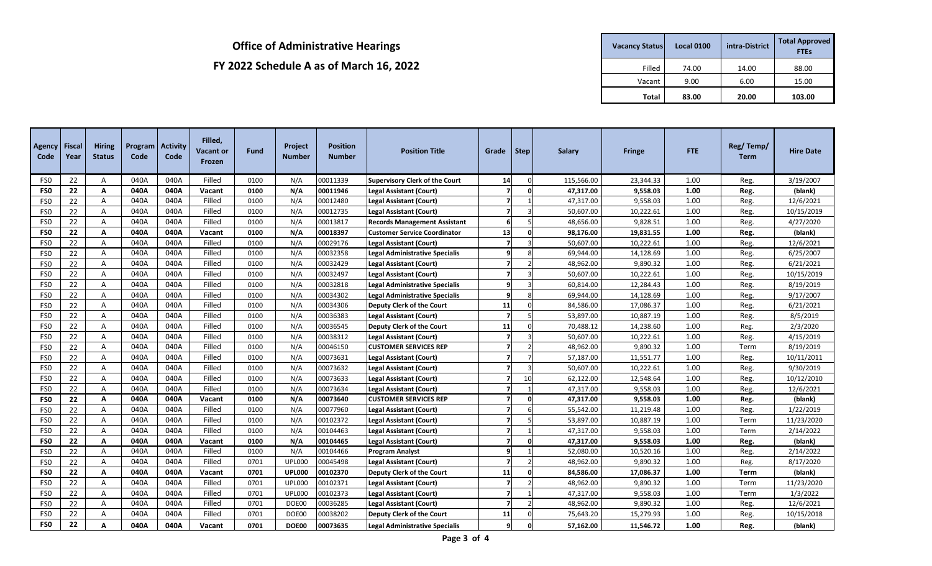| <b>Vacancy Status</b> | <b>Local 0100</b> | intra-District | <b>Total Approved</b><br><b>FTEs</b> |
|-----------------------|-------------------|----------------|--------------------------------------|
| Filled                | 74.00             | 14.00          | 88.00                                |
| Vacant                | 9.00              | 6.00           | 15.00                                |
| Total                 | 83.00             | 20.00          | 103.00                               |

| Agency<br>Code  | <b>Fiscal</b><br>Year | <b>Hiring</b><br><b>Status</b> | Program<br>Code | <b>Activity</b><br>Code | Filled,<br><b>Vacant or</b><br>Frozen | <b>Fund</b> | Project<br><b>Number</b> | <b>Position</b><br><b>Number</b> | <b>Position Title</b>                 | Grade                   | Step         | <b>Salary</b> | <b>Fringe</b> | <b>FTE</b> | Reg/Temp/<br><b>Term</b> | <b>Hire Date</b> |
|-----------------|-----------------------|--------------------------------|-----------------|-------------------------|---------------------------------------|-------------|--------------------------|----------------------------------|---------------------------------------|-------------------------|--------------|---------------|---------------|------------|--------------------------|------------------|
| FS <sub>0</sub> | 22                    | A                              | 040A            | 040A                    | Filled                                | 0100        | N/A                      | 00011339                         | Supervisory Clerk of the Court        | 14                      | $\Omega$     | 115,566.00    | 23,344.33     | 1.00       | Reg.                     | 3/19/2007        |
| FS <sub>0</sub> | 22                    | A                              | 040A            | 040A                    | Vacant                                | 0100        | N/A                      | 00011946                         | <b>Legal Assistant (Court)</b>        | $\overline{7}$          | $\Omega$     | 47,317.00     | 9,558.03      | 1.00       | Reg.                     | (blank)          |
| FS <sub>0</sub> | 22                    | Α                              | 040A            | 040A                    | Filled                                | 0100        | N/A                      | 00012480                         | <b>Legal Assistant (Court)</b>        | $\overline{7}$          |              | 47,317.00     | 9,558.03      | 1.00       | Reg.                     | 12/6/2021        |
| FS <sub>0</sub> | 22                    | Α                              | 040A            | 040A                    | Filled                                | 0100        | N/A                      | 00012735                         | <b>Legal Assistant (Court)</b>        | $\overline{7}$          |              | 50,607.00     | 10,222.61     | 1.00       | Reg.                     | 10/15/2019       |
| FS <sub>0</sub> | 22                    | A                              | 040A            | 040A                    | Filled                                | 0100        | N/A                      | 00013817                         | <b>Records Management Assistant</b>   | 6                       |              | 48,656.00     | 9,828.51      | 1.00       | Reg.                     | 4/27/2020        |
| FS <sub>0</sub> | 22                    | A                              | 040A            | 040A                    | Vacant                                | 0100        | N/A                      | 00018397                         | <b>Customer Service Coordinator</b>   | 13                      | $\Omega$     | 98,176.00     | 19,831.55     | 1.00       | Reg.                     | (blank)          |
| FS <sub>0</sub> | 22                    | A                              | 040A            | 040A                    | Filled                                | 0100        | N/A                      | 00029176                         | <b>Legal Assistant (Court)</b>        | $\overline{7}$          |              | 50,607.00     | 10,222.61     | 1.00       | Reg.                     | 12/6/2021        |
| FS <sub>0</sub> | 22                    | A                              | 040A            | 040A                    | Filled                                | 0100        | N/A                      | 00032358                         | <b>Legal Administrative Specialis</b> | 9                       |              | 69,944.00     | 14,128.69     | 1.00       | Reg.                     | 6/25/2007        |
| FS <sub>0</sub> | 22                    | A                              | 040A            | 040A                    | Filled                                | 0100        | N/A                      | 00032429                         | <b>Legal Assistant (Court)</b>        | $\overline{ }$          |              | 48,962.00     | 9,890.32      | 1.00       | Reg.                     | 6/21/2021        |
| FS <sub>0</sub> | 22                    | A                              | 040A            | 040A                    | Filled                                | 0100        | N/A                      | 00032497                         | Legal Assistant (Court)               | $\overline{7}$          |              | 50,607.00     | 10,222.61     | 1.00       | Reg.                     | 10/15/2019       |
| FS <sub>0</sub> | 22                    | A                              | 040A            | 040A                    | Filled                                | 0100        | N/A                      | 00032818                         | <b>Legal Administrative Specialis</b> | 9                       |              | 60,814.00     | 12,284.43     | 1.00       | Reg.                     | 8/19/2019        |
| FS <sub>0</sub> | 22                    | A                              | 040A            | 040A                    | Filled                                | 0100        | N/A                      | 00034302                         | <b>Legal Administrative Specialis</b> | 9                       |              | 69,944.00     | 14,128.69     | 1.00       | Reg.                     | 9/17/2007        |
| FS <sub>0</sub> | 22                    | A                              | 040A            | 040A                    | Filled                                | 0100        | N/A                      | 00034306                         | Deputy Clerk of the Court             | 11                      |              | 84,586.00     | 17,086.37     | 1.00       | Reg.                     | 6/21/2021        |
| FS <sub>0</sub> | 22                    | $\mathsf{A}$                   | 040A            | 040A                    | Filled                                | 0100        | N/A                      | 00036383                         | <b>Legal Assistant (Court)</b>        | $\overline{7}$          |              | 53,897.00     | 10,887.19     | 1.00       | Reg.                     | 8/5/2019         |
| FS <sub>0</sub> | 22                    | $\mathsf{A}$                   | 040A            | 040A                    | Filled                                | 0100        | N/A                      | 00036545                         | Deputy Clerk of the Court             | 11                      |              | 70,488.12     | 14,238.60     | 1.00       | Reg.                     | 2/3/2020         |
| FS <sub>0</sub> | 22                    | A                              | 040A            | 040A                    | Filled                                | 0100        | N/A                      | 00038312                         | <b>Legal Assistant (Court)</b>        | $\overline{7}$          |              | 50,607.00     | 10,222.61     | 1.00       | Reg.                     | 4/15/2019        |
| FS <sub>0</sub> | 22                    | $\mathsf{A}$                   | 040A            | 040A                    | Filled                                | 0100        | N/A                      | 00046150                         | <b>CUSTOMER SERVICES REP</b>          | $\overline{\mathbf{z}}$ |              | 48,962.00     | 9,890.32      | 1.00       | Term                     | 8/19/2019        |
| FS <sub>0</sub> | 22                    | A                              | 040A            | 040A                    | Filled                                | 0100        | N/A                      | 00073631                         | <b>Legal Assistant (Court)</b>        | $\overline{\mathbf{z}}$ |              | 57,187.00     | 11,551.77     | 1.00       | Reg.                     | 10/11/2011       |
| FS <sub>0</sub> | 22                    | A                              | 040A            | 040A                    | Filled                                | 0100        | N/A                      | 00073632                         | <b>Legal Assistant (Court)</b>        | $\overline{\mathbf{z}}$ | $\mathbf{3}$ | 50,607.00     | 10,222.61     | 1.00       | Reg.                     | 9/30/2019        |
| FS <sub>0</sub> | 22                    | A                              | 040A            | 040A                    | Filled                                | 0100        | N/A                      | 00073633                         | <b>Legal Assistant (Court)</b>        | $\overline{7}$          | 10           | 62,122.00     | 12,548.64     | 1.00       | Reg.                     | 10/12/2010       |
| FS <sub>0</sub> | 22                    | A                              | 040A            | 040A                    | Filled                                | 0100        | N/A                      | 00073634                         | <b>Legal Assistant (Court)</b>        | $\overline{\mathbf{z}}$ |              | 47,317.00     | 9,558.03      | 1.00       | Reg.                     | 12/6/2021        |
| FS <sub>0</sub> | 22                    | A                              | 040A            | 040A                    | Vacant                                | 0100        | N/A                      | 00073640                         | <b>CUSTOMER SERVICES REP</b>          | $\overline{7}$          | $\Omega$     | 47,317.00     | 9,558.03      | 1.00       | Reg.                     | (blank)          |
| FS <sub>0</sub> | 22                    | A                              | 040A            | 040A                    | Filled                                | 0100        | N/A                      | 00077960                         | <b>Legal Assistant (Court)</b>        | $\overline{\mathbf{z}}$ |              | 55,542.00     | 11,219.48     | 1.00       | Reg.                     | 1/22/2019        |
| FS <sub>0</sub> | 22                    | A                              | 040A            | 040A                    | Filled                                | 0100        | N/A                      | 00102372                         | <b>Legal Assistant (Court)</b>        | $\overline{7}$          |              | 53,897.00     | 10,887.19     | 1.00       | Term                     | 11/23/2020       |
| FS <sub>0</sub> | 22                    | A                              | 040A            | 040A                    | Filled                                | 0100        | N/A                      | 00104463                         | <b>Legal Assistant (Court)</b>        | $\overline{7}$          |              | 47,317.00     | 9,558.03      | 1.00       | Term                     | 2/14/2022        |
| FS <sub>0</sub> | 22                    | Α                              | 040A            | 040A                    | Vacant                                | 0100        | N/A                      | 00104465                         | <b>Legal Assistant (Court)</b>        | $\overline{z}$          |              | 47,317.00     | 9,558.03      | 1.00       | Reg.                     | (blank)          |
| FS <sub>0</sub> | 22                    | A                              | 040A            | 040A                    | Filled                                | 0100        | N/A                      | 00104466                         | <b>Program Analyst</b>                | 9                       |              | 52,080.00     | 10,520.16     | 1.00       | Reg.                     | 2/14/2022        |
| FS <sub>0</sub> | 22                    | A                              | 040A            | 040A                    | Filled                                | 0701        | <b>UPL000</b>            | 00045498                         | <b>Legal Assistant (Court)</b>        | $\overline{7}$          |              | 48,962.00     | 9,890.32      | 1.00       | Reg.                     | 8/17/2020        |
| FS <sub>0</sub> | 22                    | A                              | 040A            | 040A                    | Vacant                                | 0701        | <b>UPL000</b>            | 00102370                         | Deputy Clerk of the Court             | 11                      | 0            | 84,586.00     | 17,086.37     | 1.00       | Term                     | (blank)          |
| FS <sub>0</sub> | 22                    | Α                              | 040A            | 040A                    | Filled                                | 0701        | <b>UPL000</b>            | 00102371                         | <b>Legal Assistant (Court)</b>        | $\overline{7}$          |              | 48,962.00     | 9,890.32      | 1.00       | Term                     | 11/23/2020       |
| FS <sub>0</sub> | 22                    | A                              | 040A            | 040A                    | Filled                                | 0701        | <b>UPL000</b>            | 00102373                         | <b>Legal Assistant (Court)</b>        | $\overline{7}$          |              | 47,317.00     | 9,558.03      | 1.00       | Term                     | 1/3/2022         |
| FS <sub>0</sub> | 22                    | A                              | 040A            | 040A                    | Filled                                | 0701        | DOE00                    | 00036285                         | <b>Legal Assistant (Court)</b>        | $\overline{7}$          |              | 48,962.00     | 9,890.32      | 1.00       | Reg.                     | 12/6/2021        |
| FS <sub>0</sub> | 22                    | A                              | 040A            | 040A                    | Filled                                | 0701        | DOE00                    | 00038202                         | Deputy Clerk of the Court             | 11                      |              | 75,643.20     | 15,279.93     | 1.00       | Reg.                     | 10/15/2018       |
| FS <sub>0</sub> | 22                    | A                              | 040A            | 040A                    | Vacant                                | 0701        | DOE00                    | 00073635                         | <b>Legal Administrative Specialis</b> | 9                       | $\mathbf 0$  | 57,162.00     | 11,546.72     | 1.00       | Reg.                     | (blank)          |